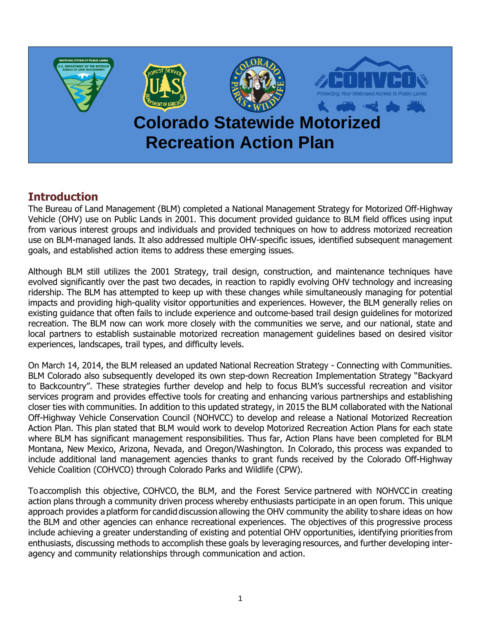

## **Introduction**

The Bureau of Land Management (BLM) completed a National Management Strategy for Motorized Off-Highway Vehicle (OHV) use on Public Lands in 2001. This document provided guidance to BLM field offices using input from various interest groups and individuals and provided techniques on how to address motorized recreation use on BLM-managed lands. It also addressed multiple OHV-specific issues, identified subsequent management goals, and established action items to address these emerging issues.

Although BLM still utilizes the 2001 Strategy, trail design, construction, and maintenance techniques have evolved significantly over the past two decades, in reaction to rapidly evolving OHV technology and increasing ridership. The BLM has attempted to keep up with these changes while simultaneously managing for potential impacts and providing high-quality visitor opportunities and experiences. However, the BLM generally relies on existing guidance that often fails to include experience and outcome-based trail design guidelines for motorized recreation. The BLM now can work more closely with the communities we serve, and our national, state and local partners to establish sustainable motorized recreation management guidelines based on desired visitor experiences, landscapes, trail types, and difficulty levels.

On March 14, 2014, the BLM released an updated National Recreation Strategy - Connecting with Communities. BLM Colorado also subsequently developed its own step-down Recreation Implementation Strategy "Backyard to Backcountry". These strategies further develop and help to focus BLM's successful recreation and visitor services program and provides effective tools for creating and enhancing various partnerships and establishing closer ties with communities. In addition to this updated strategy, in 2015 the BLM collaborated with the National Off-Highway Vehicle Conservation Council (NOHVCC) to develop and release a National Motorized Recreation Action Plan. This plan stated that BLM would work to develop Motorized Recreation Action Plans for each state where BLM has significant management responsibilities. Thus far, Action Plans have been completed for BLM Montana, New Mexico, Arizona, Nevada, and Oregon/Washington. In Colorado, this process was expanded to include additional land management agencies thanks to grant funds received by the Colorado Off-Highway Vehicle Coalition (COHVCO) through Colorado Parks and Wildlife (CPW).

To accomplish this objective, COHVCO, the BLM, and the Forest Service partnered with NOHVCC in creating action plans through a community driven process whereby enthusiasts participate in an open forum.  This unique approach provides a platform for candid discussion allowing the OHV community the ability to share ideas on how the BLM and other agencies can enhance recreational experiences.  The objectives of this progressive process include achieving a greater understanding of existing and potential OHV opportunities, identifying priorities from enthusiasts, discussing methods to accomplish these goals by leveraging resources, and further developing interagency and community relationships through communication and action.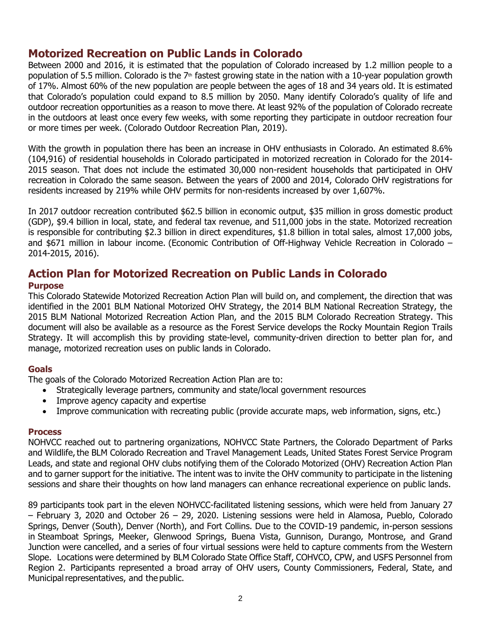### **Motorized Recreation on Public Lands in Colorado**

Between 2000 and 2016, it is estimated that the population of Colorado increased by 1.2 million people to a population of 5.5 million. Colorado is the  $7<sup>th</sup>$  fastest growing state in the nation with a 10-year population growth of 17%. Almost 60% of the new population are people between the ages of 18 and 34 years old. It is estimated that Colorado's population could expand to 8.5 million by 2050. Many identify Colorado's quality of life and outdoor recreation opportunities as a reason to move there. At least 92% of the population of Colorado recreate in the outdoors at least once every few weeks, with some reporting they participate in outdoor recreation four or more times per week. (Colorado Outdoor Recreation Plan, 2019).

With the growth in population there has been an increase in OHV enthusiasts in Colorado. An estimated 8.6% (104,916) of residential households in Colorado participated in motorized recreation in Colorado for the 2014- 2015 season. That does not include the estimated 30,000 non-resident households that participated in OHV recreation in Colorado the same season. Between the years of 2000 and 2014, Colorado OHV registrations for residents increased by 219% while OHV permits for non-residents increased by over 1,607%.

In 2017 outdoor recreation contributed \$62.5 billion in economic output, \$35 million in gross domestic product (GDP), \$9.4 billion in local, state, and federal tax revenue, and 511,000 jobs in the state. Motorized recreation is responsible for contributing \$2.3 billion in direct expenditures, \$1.8 billion in total sales, almost 17,000 jobs, and \$671 million in labour income. (Economic Contribution of Off-Highway Vehicle Recreation in Colorado – 2014-2015, 2016).

# **Action Plan for Motorized Recreation on Public Lands in Colorado**

### **Purpose**

This Colorado Statewide Motorized Recreation Action Plan will build on, and complement, the direction that was identified in the 2001 BLM National Motorized OHV Strategy, the 2014 BLM National Recreation Strategy, the 2015 BLM National Motorized Recreation Action Plan, and the 2015 BLM Colorado Recreation Strategy. This document will also be available as a resource as the Forest Service develops the Rocky Mountain Region Trails Strategy. It will accomplish this by providing state-level, community-driven direction to better plan for, and manage, motorized recreation uses on public lands in Colorado.

### **Goals**

The goals of the Colorado Motorized Recreation Action Plan are to:

- Strategically leverage partners, community and state/local government resources
- Improve agency capacity and expertise
- Improve communication with recreating public (provide accurate maps, web information, signs, etc.)

### **Process**

NOHVCC reached out to partnering organizations, NOHVCC State Partners, the Colorado Department of Parks and Wildlife, the BLM Colorado Recreation and Travel Management Leads, United States Forest Service Program Leads, and state and regional OHV clubs notifying them of the Colorado Motorized (OHV) Recreation Action Plan and to garner support for the initiative. The intent was to invite the OHV community to participate in the listening sessions and share their thoughts on how land managers can enhance recreational experience on public lands. 

89 participants took part in the eleven NOHVCC-facilitated listening sessions, which were held from January 27 – February 3, 2020 and October 26 – 29, 2020. Listening sessions were held in Alamosa, Pueblo, Colorado Springs, Denver (South), Denver (North), and Fort Collins. Due to the COVID-19 pandemic, in-person sessions in Steamboat Springs, Meeker, Glenwood Springs, Buena Vista, Gunnison, Durango, Montrose, and Grand Junction were cancelled, and a series of four virtual sessions were held to capture comments from the Western Slope. Locations were determined by BLM Colorado State Office Staff, COHVCO, CPW, and USFS Personnel from Region 2.  Participants represented a broad array of OHV users, County Commissioners, Federal, State, and Municipal representatives, and the public.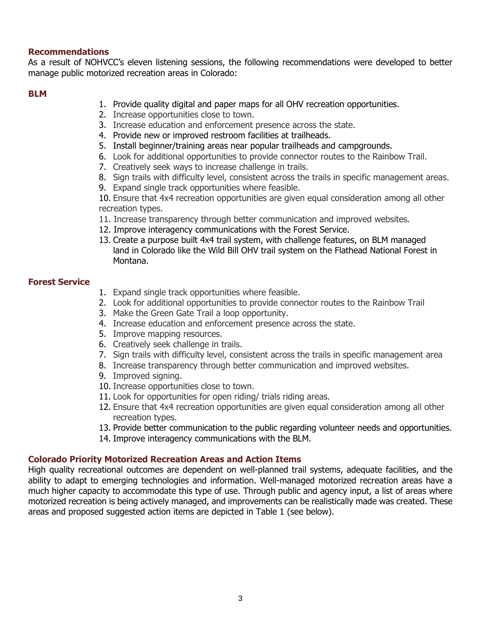### **Recommendations**

As a result of NOHVCC's eleven listening sessions, the following recommendations were developed to better manage public motorized recreation areas in Colorado:

#### **BLM**

- 1. Provide quality digital and paper maps for all OHV recreation opportunities.
- 2. Increase opportunities close to town.
- 3. Increase education and enforcement presence across the state.
- 4. Provide new or improved restroom facilities at trailheads.
- 5. Install beginner/training areas near popular trailheads and campgrounds.
- 6. Look for additional opportunities to provide connector routes to the Rainbow Trail.
- 7. Creatively seek ways to increase challenge in trails.
- 8. Sign trails with difficulty level, consistent across the trails in specific management areas.
- 9. Expand single track opportunities where feasible.
- 10. Ensure that 4x4 recreation opportunities are given equal consideration among all other recreation types.
- 11. Increase transparency through better communication and improved websites.
- 12. Improve interagency communications with the Forest Service.
- 13. Create a purpose built 4x4 trail system, with challenge features, on BLM managed land in Colorado like the Wild Bill OHV trail system on the Flathead National Forest in Montana.

#### **Forest Service**

- 1. Expand single track opportunities where feasible.
- 2. Look for additional opportunities to provide connector routes to the Rainbow Trail
- 3. Make the Green Gate Trail a loop opportunity.
- 4. Increase education and enforcement presence across the state.
- 5. Improve mapping resources.
- 6. Creatively seek challenge in trails.
- 7. Sign trails with difficulty level, consistent across the trails in specific management area
- 8. Increase transparency through better communication and improved websites.
- 9. Improved signing.
- 10. Increase opportunities close to town.
- 11. Look for opportunities for open riding/ trials riding areas.
- 12. Ensure that 4x4 recreation opportunities are given equal consideration among all other recreation types.
- 13. Provide better communication to the public regarding volunteer needs and opportunities.
- 14. Improve interagency communications with the BLM.

### **Colorado Priority Motorized Recreation Areas and Action Items**

High quality recreational outcomes are dependent on well-planned trail systems, adequate facilities, and the ability to adapt to emerging technologies and information. Well-managed motorized recreation areas have a much higher capacity to accommodate this type of use. Through public and agency input, a list of areas where motorized recreation is being actively managed, and improvements can be realistically made was created. These areas and proposed suggested action items are depicted in Table 1 (see below).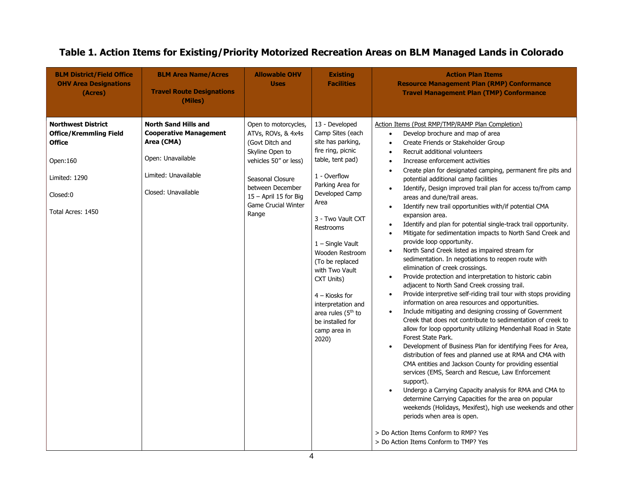| <b>BLM District/Field Office</b><br><b>OHV Area Designations</b><br>(Acres)                                                               | <b>BLM Area Name/Acres</b><br><b>Travel Route Designations</b><br>(Miles)                                                                      | <b>Allowable OHV</b><br><b>Uses</b>                                                                                                                                                                               | <b>Existing</b><br><b>Facilities</b>                                                                                                                                                                                                                                                                                                                                                                        | <b>Action Plan Items</b><br><b>Resource Management Plan (RMP) Conformance</b><br><b>Travel Management Plan (TMP) Conformance</b>                                                                                                                                                                                                                                                                                                                                                                                                                                                                                                                                                                                                                                                                                                                                                                                                                                                                                                                                                                                                                                                                                                                                                                                                                                                                                                                                                                                                                                                                                                                                                                                                                                                                                                                                                                                                                                                                              |
|-------------------------------------------------------------------------------------------------------------------------------------------|------------------------------------------------------------------------------------------------------------------------------------------------|-------------------------------------------------------------------------------------------------------------------------------------------------------------------------------------------------------------------|-------------------------------------------------------------------------------------------------------------------------------------------------------------------------------------------------------------------------------------------------------------------------------------------------------------------------------------------------------------------------------------------------------------|---------------------------------------------------------------------------------------------------------------------------------------------------------------------------------------------------------------------------------------------------------------------------------------------------------------------------------------------------------------------------------------------------------------------------------------------------------------------------------------------------------------------------------------------------------------------------------------------------------------------------------------------------------------------------------------------------------------------------------------------------------------------------------------------------------------------------------------------------------------------------------------------------------------------------------------------------------------------------------------------------------------------------------------------------------------------------------------------------------------------------------------------------------------------------------------------------------------------------------------------------------------------------------------------------------------------------------------------------------------------------------------------------------------------------------------------------------------------------------------------------------------------------------------------------------------------------------------------------------------------------------------------------------------------------------------------------------------------------------------------------------------------------------------------------------------------------------------------------------------------------------------------------------------------------------------------------------------------------------------------------------------|
| <b>Northwest District</b><br><b>Office/Kremmling Field</b><br><b>Office</b><br>Open:160<br>Limited: 1290<br>Closed:0<br>Total Acres: 1450 | <b>North Sand Hills and</b><br><b>Cooperative Management</b><br>Area (CMA)<br>Open: Unavailable<br>Limited: Unavailable<br>Closed: Unavailable | Open to motorcycles,<br>ATVs, ROVs, & 4x4s<br>(Govt Ditch and<br>Skyline Open to<br>vehicles 50" or less)<br>Seasonal Closure<br>between December<br>15 - April 15 for Big<br><b>Game Crucial Winter</b><br>Range | 13 - Developed<br>Camp Sites (each<br>site has parking,<br>fire ring, picnic<br>table, tent pad)<br>1 - Overflow<br>Parking Area for<br>Developed Camp<br>Area<br>3 - Two Vault CXT<br>Restrooms<br>$1 -$ Single Vault<br>Wooden Restroom<br>(To be replaced<br>with Two Vault<br>CXT Units)<br>$4 -$ Kiosks for<br>interpretation and<br>area rules $(5th$ to<br>be installed for<br>camp area in<br>2020) | Action Items (Post RMP/TMP/RAMP Plan Completion)<br>Develop brochure and map of area<br>$\bullet$<br>Create Friends or Stakeholder Group<br>$\bullet$<br>Recruit additional volunteers<br>$\bullet$<br>Increase enforcement activities<br>$\bullet$<br>Create plan for designated camping, permanent fire pits and<br>$\bullet$<br>potential additional camp facilities<br>Identify, Design improved trail plan for access to/from camp<br>$\bullet$<br>areas and dune/trail areas.<br>Identify new trail opportunities with/if potential CMA<br>$\bullet$<br>expansion area.<br>Identify and plan for potential single-track trail opportunity.<br>$\bullet$<br>Mitigate for sedimentation impacts to North Sand Creek and<br>$\bullet$<br>provide loop opportunity.<br>North Sand Creek listed as impaired stream for<br>$\bullet$<br>sedimentation. In negotiations to reopen route with<br>elimination of creek crossings.<br>Provide protection and interpretation to historic cabin<br>$\bullet$<br>adjacent to North Sand Creek crossing trail.<br>Provide interpretive self-riding trail tour with stops providing<br>$\bullet$<br>information on area resources and opportunities.<br>Include mitigating and designing crossing of Government<br>$\bullet$<br>Creek that does not contribute to sedimentation of creek to<br>allow for loop opportunity utilizing Mendenhall Road in State<br>Forest State Park.<br>Development of Business Plan for identifying Fees for Area,<br>$\bullet$<br>distribution of fees and planned use at RMA and CMA with<br>CMA entities and Jackson County for providing essential<br>services (EMS, Search and Rescue, Law Enforcement<br>support).<br>Undergo a Carrying Capacity analysis for RMA and CMA to<br>$\bullet$<br>determine Carrying Capacities for the area on popular<br>weekends (Holidays, Mexifest), high use weekends and other<br>periods when area is open.<br>> Do Action Items Conform to RMP? Yes<br>> Do Action Items Conform to TMP? Yes |

# **Table 1. Action Items for Existing/Priority Motorized Recreation Areas on BLM Managed Lands in Colorado**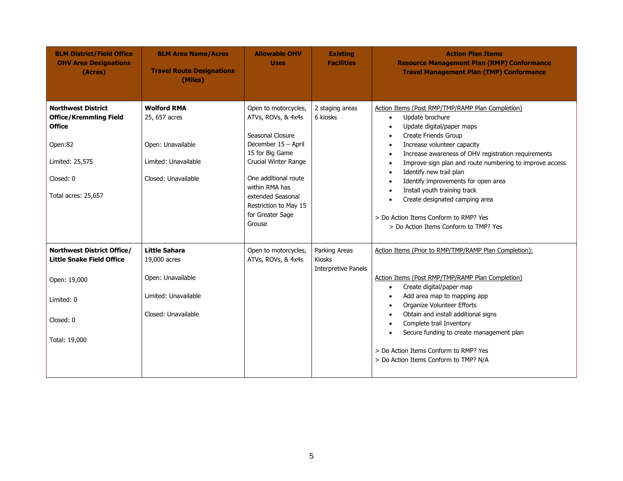| <b>BLM District/Field Office</b><br><b>OHV Area Designations</b><br>(Acres)                                                                   | <b>BLM Area Name/Acres</b><br><b>Travel Route Designations</b><br>(Miles)                               | <b>Allowable OHV</b><br><b>Uses</b>                                                                                                                                                                                                                    | <b>Existing</b><br><b>Facilities</b>                         | <b>Action Plan Items</b><br><b>Resource Management Plan (RMP) Conformance</b><br><b>Travel Management Plan (TMP) Conformance</b>                                                                                                                                                                                                                                                                                                                                                                                                                                                                                     |
|-----------------------------------------------------------------------------------------------------------------------------------------------|---------------------------------------------------------------------------------------------------------|--------------------------------------------------------------------------------------------------------------------------------------------------------------------------------------------------------------------------------------------------------|--------------------------------------------------------------|----------------------------------------------------------------------------------------------------------------------------------------------------------------------------------------------------------------------------------------------------------------------------------------------------------------------------------------------------------------------------------------------------------------------------------------------------------------------------------------------------------------------------------------------------------------------------------------------------------------------|
| <b>Northwest District</b><br><b>Office/Kremmling Field</b><br><b>Office</b><br>Open:82<br>Limited: 25,575<br>Closed: 0<br>Total acres: 25,657 | <b>Wolford RMA</b><br>25, 657 acres<br>Open: Unavailable<br>Limited: Unavailable<br>Closed: Unavailable | Open to motorcycles,<br>ATVs, ROVs, & 4x4s<br>Seasonal Closure<br>December 15 - April<br>15 for Big Game<br>Crucial Winter Range<br>One additional route<br>within RMA has<br>extended Seasonal<br>Restriction to May 15<br>for Greater Sage<br>Grouse | 2 staging areas<br>6 kiosks                                  | Action Items (Post RMP/TMP/RAMP Plan Completion)<br>Update brochure<br>$\bullet$<br>Update digital/paper maps<br>$\bullet$<br>Create Friends Group<br>$\bullet$<br>Increase volunteer capacity<br>$\bullet$<br>Increase awareness of OHV registration requirements<br>$\bullet$<br>Improve sign plan and route numbering to improve access<br>$\bullet$<br>Identify new trail plan<br>$\bullet$<br>Identify improvements for open area<br>$\bullet$<br>Install youth training track<br>$\bullet$<br>Create designated camping area<br>> Do Action Items Conform to RMP? Yes<br>> Do Action Items Conform to TMP? Yes |
| Northwest District Office/<br><b>Little Snake Field Office</b><br>Open: 19,000<br>Limited: 0                                                  | <b>Little Sahara</b><br>19,000 acres<br>Open: Unavailable<br>Limited: Unavailable                       | Open to motorcycles,<br>ATVs, ROVs, & 4x4s                                                                                                                                                                                                             | Parking Areas<br><b>Kiosks</b><br><b>Interpretive Panels</b> | Action Items (Prior to RMP/TMP/RAMP Plan Completion):<br>Action Items (Post RMP/TMP/RAMP Plan Completion)<br>Create digital/paper map<br>$\bullet$<br>Add area map to mapping app<br>$\bullet$<br>Organize Volunteer Efforts<br>$\bullet$                                                                                                                                                                                                                                                                                                                                                                            |
| Closed: 0<br>Total: 19,000                                                                                                                    | Closed: Unavailable                                                                                     |                                                                                                                                                                                                                                                        |                                                              | Obtain and install additional signs<br>$\bullet$<br>Complete trail Inventory<br>$\bullet$<br>Secure funding to create management plan<br>$\bullet$<br>> Do Action Items Conform to RMP? Yes<br>> Do Action Items Conform to TMP? N/A                                                                                                                                                                                                                                                                                                                                                                                 |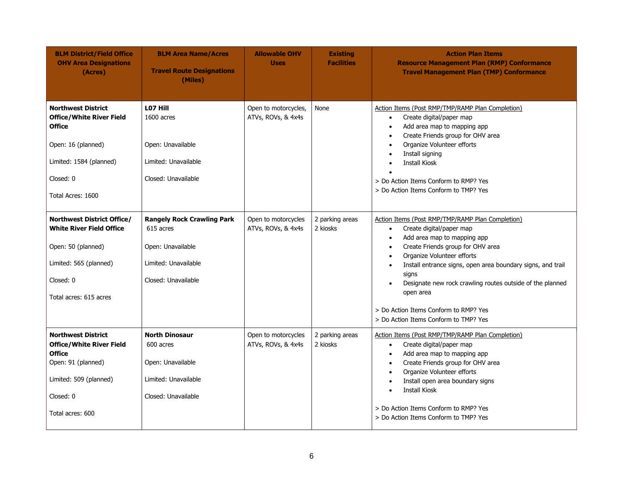| <b>BLM District/Field Office</b><br><b>OHV Area Designations</b><br>(Acres)                                                                                      | <b>BLM Area Name/Acres</b><br><b>Travel Route Designations</b><br>(Miles)                                          | <b>Allowable OHV</b><br><b>Uses</b>        | <b>Existing</b><br><b>Facilities</b> | <b>Action Plan Items</b><br><b>Resource Management Plan (RMP) Conformance</b><br><b>Travel Management Plan (TMP) Conformance</b>                                                                                                                                                                                                                                                                                                                                                                 |
|------------------------------------------------------------------------------------------------------------------------------------------------------------------|--------------------------------------------------------------------------------------------------------------------|--------------------------------------------|--------------------------------------|--------------------------------------------------------------------------------------------------------------------------------------------------------------------------------------------------------------------------------------------------------------------------------------------------------------------------------------------------------------------------------------------------------------------------------------------------------------------------------------------------|
| <b>Northwest District</b><br><b>Office/White River Field</b><br><b>Office</b><br>Open: 16 (planned)<br>Limited: 1584 (planned)<br>Closed: 0<br>Total Acres: 1600 | LO7 Hill<br>1600 acres<br>Open: Unavailable<br>Limited: Unavailable<br>Closed: Unavailable                         | Open to motorcycles,<br>ATVs, ROVs, & 4x4s | None                                 | Action Items (Post RMP/TMP/RAMP Plan Completion)<br>Create digital/paper map<br>$\bullet$<br>Add area map to mapping app<br>$\bullet$<br>Create Friends group for OHV area<br>$\bullet$<br>Organize Volunteer efforts<br>$\bullet$<br>Install signing<br>$\bullet$<br><b>Install Kiosk</b><br>> Do Action Items Conform to RMP? Yes<br>> Do Action Items Conform to TMP? Yes                                                                                                                     |
| Northwest District Office/<br><b>White River Field Office</b><br>Open: 50 (planned)<br>Limited: 565 (planned)<br>Closed: 0<br>Total acres: 615 acres             | <b>Rangely Rock Crawling Park</b><br>615 acres<br>Open: Unavailable<br>Limited: Unavailable<br>Closed: Unavailable | Open to motorcycles<br>ATVs, ROVs, & 4x4s  | 2 parking areas<br>2 kiosks          | Action Items (Post RMP/TMP/RAMP Plan Completion)<br>Create digital/paper map<br>$\bullet$<br>Add area map to mapping app<br>$\bullet$<br>Create Friends group for OHV area<br>$\bullet$<br>Organize Volunteer efforts<br>$\bullet$<br>Install entrance signs, open area boundary signs, and trail<br>$\bullet$<br>signs<br>Designate new rock crawling routes outside of the planned<br>$\bullet$<br>open area<br>> Do Action Items Conform to RMP? Yes<br>> Do Action Items Conform to TMP? Yes |
| <b>Northwest District</b><br><b>Office/White River Field</b><br><b>Office</b><br>Open: 91 (planned)<br>Limited: 509 (planned)<br>Closed: 0<br>Total acres: 600   | <b>North Dinosaur</b><br>600 acres<br>Open: Unavailable<br>Limited: Unavailable<br>Closed: Unavailable             | Open to motorcycles<br>ATVs, ROVs, & 4x4s  | 2 parking areas<br>2 kiosks          | Action Items (Post RMP/TMP/RAMP Plan Completion)<br>Create digital/paper map<br>$\bullet$<br>Add area map to mapping app<br>$\bullet$<br>Create Friends group for OHV area<br>$\bullet$<br>Organize Volunteer efforts<br>$\bullet$<br>Install open area boundary signs<br>$\bullet$<br><b>Install Kiosk</b><br>$\bullet$<br>> Do Action Items Conform to RMP? Yes<br>> Do Action Items Conform to TMP? Yes                                                                                       |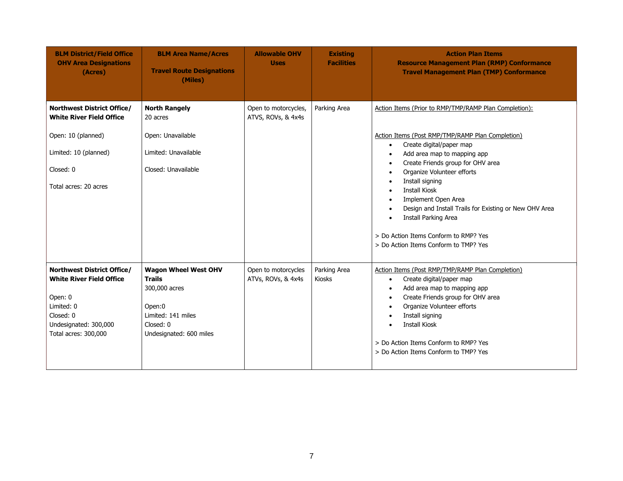| <b>BLM District/Field Office</b><br><b>OHV Area Designations</b><br>(Acres)                                                                               | <b>BLM Area Name/Acres</b><br><b>Travel Route Designations</b><br>(Miles)                                                             | <b>Allowable OHV</b><br><b>Uses</b>        | <b>Existing</b><br><b>Facilities</b> | <b>Action Plan Items</b><br><b>Resource Management Plan (RMP) Conformance</b><br><b>Travel Management Plan (TMP) Conformance</b>                                                                                                                                                                                                                                                                                                                                                                                                                                                                          |
|-----------------------------------------------------------------------------------------------------------------------------------------------------------|---------------------------------------------------------------------------------------------------------------------------------------|--------------------------------------------|--------------------------------------|-----------------------------------------------------------------------------------------------------------------------------------------------------------------------------------------------------------------------------------------------------------------------------------------------------------------------------------------------------------------------------------------------------------------------------------------------------------------------------------------------------------------------------------------------------------------------------------------------------------|
| <b>Northwest District Office/</b><br><b>White River Field Office</b><br>Open: 10 (planned)<br>Limited: 10 (planned)<br>Closed: 0<br>Total acres: 20 acres | <b>North Rangely</b><br>20 acres<br>Open: Unavailable<br>Limited: Unavailable<br>Closed: Unavailable                                  | Open to motorcycles,<br>ATVS, ROVs, & 4x4s | Parking Area                         | Action Items (Prior to RMP/TMP/RAMP Plan Completion):<br>Action Items (Post RMP/TMP/RAMP Plan Completion)<br>Create digital/paper map<br>$\bullet$<br>Add area map to mapping app<br>$\bullet$<br>Create Friends group for OHV area<br>$\bullet$<br>Organize Volunteer efforts<br>$\bullet$<br>Install signing<br>$\bullet$<br><b>Install Kiosk</b><br>$\bullet$<br>Implement Open Area<br>$\bullet$<br>Design and Install Trails for Existing or New OHV Area<br>$\bullet$<br><b>Install Parking Area</b><br>$\bullet$<br>> Do Action Items Conform to RMP? Yes<br>> Do Action Items Conform to TMP? Yes |
| Northwest District Office/<br><b>White River Field Office</b><br>Open: 0<br>Limited: 0<br>Closed: 0<br>Undesignated: 300,000<br>Total acres: 300,000      | <b>Wagon Wheel West OHV</b><br><b>Trails</b><br>300,000 acres<br>Open:0<br>Limited: 141 miles<br>Closed: 0<br>Undesignated: 600 miles | Open to motorcycles<br>ATVs, ROVs, & 4x4s  | Parking Area<br>Kiosks               | Action Items (Post RMP/TMP/RAMP Plan Completion)<br>Create digital/paper map<br>$\bullet$<br>Add area map to mapping app<br>$\bullet$<br>Create Friends group for OHV area<br>$\bullet$<br>Organize Volunteer efforts<br>$\bullet$<br>Install signing<br>$\bullet$<br><b>Install Kiosk</b><br>$\bullet$<br>> Do Action Items Conform to RMP? Yes<br>> Do Action Items Conform to TMP? Yes                                                                                                                                                                                                                 |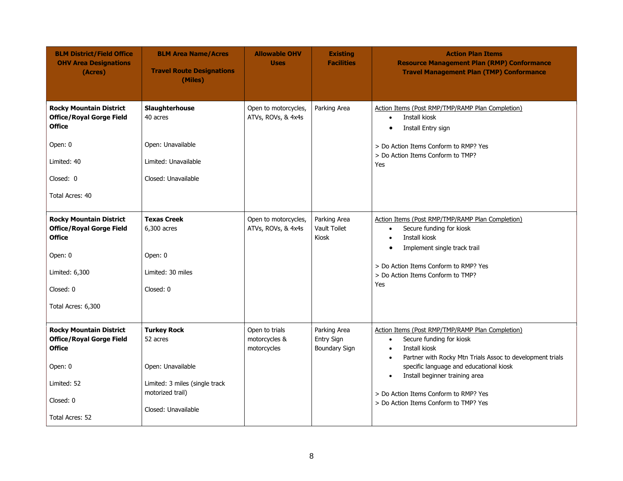| <b>BLM District/Field Office</b><br><b>OHV Area Designations</b><br>(Acres)                                                                        | <b>BLM Area Name/Acres</b><br><b>Travel Route Designations</b><br>(Miles)                                                        | <b>Allowable OHV</b><br><b>Uses</b>            | <b>Existing</b><br><b>Facilities</b>                      | <b>Action Plan Items</b><br><b>Resource Management Plan (RMP) Conformance</b><br><b>Travel Management Plan (TMP) Conformance</b>                                                                                                                                                                                                                                              |
|----------------------------------------------------------------------------------------------------------------------------------------------------|----------------------------------------------------------------------------------------------------------------------------------|------------------------------------------------|-----------------------------------------------------------|-------------------------------------------------------------------------------------------------------------------------------------------------------------------------------------------------------------------------------------------------------------------------------------------------------------------------------------------------------------------------------|
| <b>Rocky Mountain District</b><br><b>Office/Royal Gorge Field</b><br><b>Office</b><br>Open: 0<br>Limited: 40<br>Closed: 0<br>Total Acres: 40       | Slaughterhouse<br>40 acres<br>Open: Unavailable<br>Limited: Unavailable<br>Closed: Unavailable                                   | Open to motorcycles,<br>ATVs, ROVs, & 4x4s     | Parking Area                                              | Action Items (Post RMP/TMP/RAMP Plan Completion)<br>Install kiosk<br>$\bullet$<br>Install Entry sign<br>$\bullet$<br>> Do Action Items Conform to RMP? Yes<br>> Do Action Items Conform to TMP?<br>Yes                                                                                                                                                                        |
| <b>Rocky Mountain District</b><br><b>Office/Royal Gorge Field</b><br><b>Office</b><br>Open: 0<br>Limited: 6,300<br>Closed: 0<br>Total Acres: 6,300 | <b>Texas Creek</b><br>6,300 acres<br>Open: 0<br>Limited: 30 miles<br>Closed: 0                                                   | Open to motorcycles,<br>ATVs, ROVs, & 4x4s     | Parking Area<br>Vault Toilet<br>Kiosk                     | Action Items (Post RMP/TMP/RAMP Plan Completion)<br>Secure funding for kiosk<br>$\bullet$<br>Install kiosk<br>$\bullet$<br>Implement single track trail<br>$\bullet$<br>> Do Action Items Conform to RMP? Yes<br>> Do Action Items Conform to TMP?<br>Yes                                                                                                                     |
| <b>Rocky Mountain District</b><br><b>Office/Royal Gorge Field</b><br><b>Office</b><br>Open: 0<br>Limited: 52<br>Closed: 0<br>Total Acres: 52       | <b>Turkey Rock</b><br>52 acres<br>Open: Unavailable<br>Limited: 3 miles (single track<br>motorized trail)<br>Closed: Unavailable | Open to trials<br>motorcycles &<br>motorcycles | Parking Area<br><b>Entry Sign</b><br><b>Boundary Sign</b> | Action Items (Post RMP/TMP/RAMP Plan Completion)<br>Secure funding for kiosk<br>$\bullet$<br>Install kiosk<br>$\bullet$<br>Partner with Rocky Mtn Trials Assoc to development trials<br>$\bullet$<br>specific language and educational kiosk<br>Install beginner training area<br>$\bullet$<br>> Do Action Items Conform to RMP? Yes<br>> Do Action Items Conform to TMP? Yes |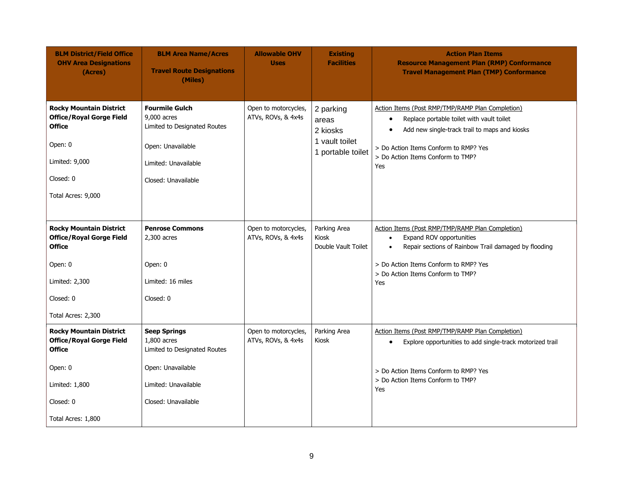| <b>BLM District/Field Office</b><br><b>OHV Area Designations</b><br>(Acres)                                                                        | <b>BLM Area Name/Acres</b><br><b>Travel Route Designations</b><br>(Miles)                                                                | <b>Allowable OHV</b><br><b>Uses</b>        | <b>Existing</b><br><b>Facilities</b>                                  | <b>Action Plan Items</b><br><b>Resource Management Plan (RMP) Conformance</b><br><b>Travel Management Plan (TMP) Conformance</b>                                                                                                                              |
|----------------------------------------------------------------------------------------------------------------------------------------------------|------------------------------------------------------------------------------------------------------------------------------------------|--------------------------------------------|-----------------------------------------------------------------------|---------------------------------------------------------------------------------------------------------------------------------------------------------------------------------------------------------------------------------------------------------------|
| <b>Rocky Mountain District</b><br><b>Office/Royal Gorge Field</b><br><b>Office</b><br>Open: 0<br>Limited: 9,000<br>Closed: 0<br>Total Acres: 9,000 | <b>Fourmile Gulch</b><br>9,000 acres<br>Limited to Designated Routes<br>Open: Unavailable<br>Limited: Unavailable<br>Closed: Unavailable | Open to motorcycles,<br>ATVs, ROVs, & 4x4s | 2 parking<br>areas<br>2 kiosks<br>1 vault toilet<br>1 portable toilet | Action Items (Post RMP/TMP/RAMP Plan Completion)<br>Replace portable toilet with vault toilet<br>$\bullet$<br>Add new single-track trail to maps and kiosks<br>$\bullet$<br>> Do Action Items Conform to RMP? Yes<br>> Do Action Items Conform to TMP?<br>Yes |
| <b>Rocky Mountain District</b><br><b>Office/Royal Gorge Field</b><br><b>Office</b><br>Open: 0<br>Limited: 2,300<br>Closed: 0                       | <b>Penrose Commons</b><br>$2,300$ acres<br>Open: 0<br>Limited: 16 miles<br>Closed: 0                                                     | Open to motorcycles,<br>ATVs, ROVs, & 4x4s | Parking Area<br>Kiosk<br>Double Vault Toilet                          | Action Items (Post RMP/TMP/RAMP Plan Completion)<br>Expand ROV opportunities<br>$\bullet$<br>Repair sections of Rainbow Trail damaged by flooding<br>$\bullet$<br>> Do Action Items Conform to RMP? Yes<br>> Do Action Items Conform to TMP?<br>Yes           |
| Total Acres: 2,300                                                                                                                                 |                                                                                                                                          |                                            |                                                                       |                                                                                                                                                                                                                                                               |
| <b>Rocky Mountain District</b><br><b>Office/Royal Gorge Field</b><br><b>Office</b><br>Open: 0<br>Limited: 1,800                                    | <b>Seep Springs</b><br>1,800 acres<br>Limited to Designated Routes<br>Open: Unavailable<br>Limited: Unavailable                          | Open to motorcycles,<br>ATVs, ROVs, & 4x4s | Parking Area<br>Kiosk                                                 | Action Items (Post RMP/TMP/RAMP Plan Completion)<br>Explore opportunities to add single-track motorized trail<br>$\bullet$<br>> Do Action Items Conform to RMP? Yes<br>> Do Action Items Conform to TMP?<br>Yes                                               |
| Closed: 0                                                                                                                                          | Closed: Unavailable                                                                                                                      |                                            |                                                                       |                                                                                                                                                                                                                                                               |
| Total Acres: 1,800                                                                                                                                 |                                                                                                                                          |                                            |                                                                       |                                                                                                                                                                                                                                                               |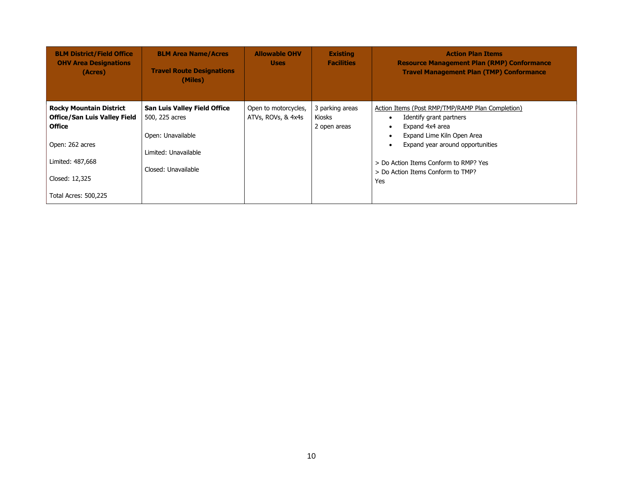| <b>BLM District/Field Office</b><br><b>OHV Area Designations</b><br>(Acres)                                                                                             | <b>BLM Area Name/Acres</b><br><b>Travel Route Designations</b><br>(Miles)                                                 | <b>Allowable OHV</b><br><b>Uses</b>        | <b>Existing</b><br><b>Facilities</b>      | <b>Action Plan Items</b><br><b>Resource Management Plan (RMP) Conformance</b><br><b>Travel Management Plan (TMP) Conformance</b>                                                                                                                                                                  |
|-------------------------------------------------------------------------------------------------------------------------------------------------------------------------|---------------------------------------------------------------------------------------------------------------------------|--------------------------------------------|-------------------------------------------|---------------------------------------------------------------------------------------------------------------------------------------------------------------------------------------------------------------------------------------------------------------------------------------------------|
| <b>Rocky Mountain District</b><br><b>Office/San Luis Valley Field</b><br><b>Office</b><br>Open: 262 acres<br>Limited: 487,668<br>Closed: 12,325<br>Total Acres: 500,225 | <b>San Luis Valley Field Office</b><br>500, 225 acres<br>Open: Unavailable<br>Limited: Unavailable<br>Closed: Unavailable | Open to motorcycles,<br>ATVs, ROVs, & 4x4s | 3 parking areas<br>Kiosks<br>2 open areas | Action Items (Post RMP/TMP/RAMP Plan Completion)<br>Identify grant partners<br>$\bullet$<br>Expand 4x4 area<br>$\bullet$<br>Expand Lime Kiln Open Area<br>٠<br>Expand year around opportunities<br>$\bullet$<br>> Do Action Items Conform to RMP? Yes<br>> Do Action Items Conform to TMP?<br>Yes |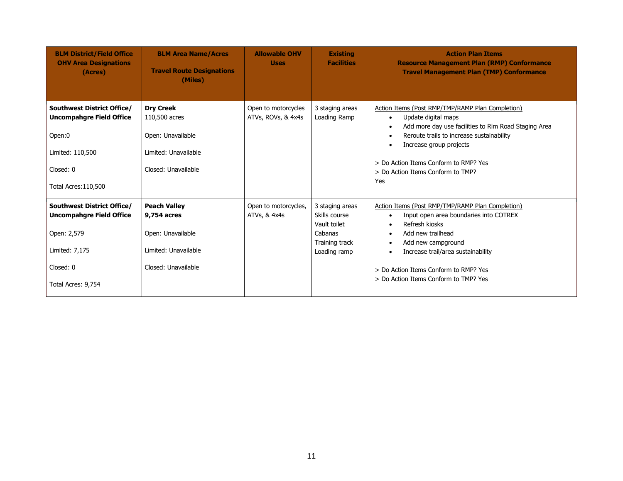| <b>BLM District/Field Office</b><br><b>OHV Area Designations</b><br>(Acres)                                                                    | <b>BLM Area Name/Acres</b><br><b>Travel Route Designations</b><br>(Miles)                              | <b>Allowable OHV</b><br><b>Uses</b>       | <b>Existing</b><br><b>Facilities</b>                                                          | <b>Action Plan Items</b><br><b>Resource Management Plan (RMP) Conformance</b><br><b>Travel Management Plan (TMP) Conformance</b>                                                                                                                                                                                                    |
|------------------------------------------------------------------------------------------------------------------------------------------------|--------------------------------------------------------------------------------------------------------|-------------------------------------------|-----------------------------------------------------------------------------------------------|-------------------------------------------------------------------------------------------------------------------------------------------------------------------------------------------------------------------------------------------------------------------------------------------------------------------------------------|
| <b>Southwest District Office/</b><br><b>Uncompahgre Field Office</b><br>Open:0<br>Limited: 110,500<br>Closed: 0<br><b>Total Acres: 110,500</b> | <b>Dry Creek</b><br>110,500 acres<br>Open: Unavailable<br>Limited: Unavailable<br>Closed: Unavailable  | Open to motorcycles<br>ATVs, ROVs, & 4x4s | 3 staging areas<br>Loading Ramp                                                               | Action Items (Post RMP/TMP/RAMP Plan Completion)<br>Update digital maps<br>$\bullet$<br>Add more day use facilities to Rim Road Staging Area<br>Reroute trails to increase sustainability<br>Increase group projects<br>$\bullet$<br>> Do Action Items Conform to RMP? Yes<br>> Do Action Items Conform to TMP?<br>Yes              |
| <b>Southwest District Office/</b><br><b>Uncompahgre Field Office</b><br>Open: 2,579<br>Limited: 7,175<br>Closed: 0<br>Total Acres: 9,754       | <b>Peach Valley</b><br>9,754 acres<br>Open: Unavailable<br>Limited: Unavailable<br>Closed: Unavailable | Open to motorcycles,<br>ATVs, & 4x4s      | 3 staging areas<br>Skills course<br>Vault toilet<br>Cabanas<br>Training track<br>Loading ramp | Action Items (Post RMP/TMP/RAMP Plan Completion)<br>Input open area boundaries into COTREX<br>$\bullet$<br>Refresh kiosks<br>Add new trailhead<br>$\bullet$<br>Add new campground<br>$\bullet$<br>Increase trail/area sustainability<br>$\bullet$<br>> Do Action Items Conform to RMP? Yes<br>> Do Action Items Conform to TMP? Yes |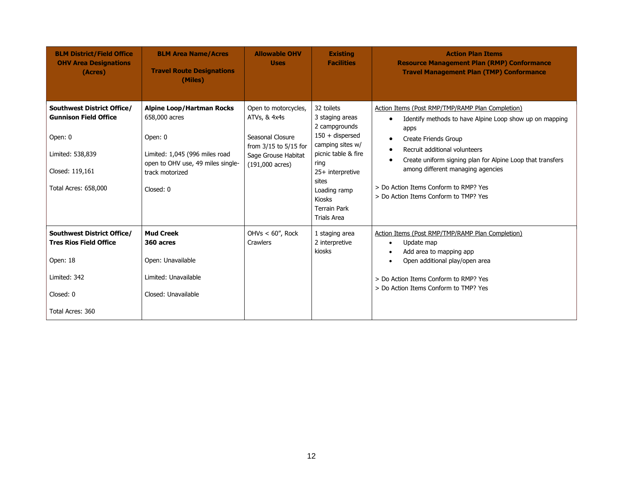| <b>BLM District/Field Office</b><br><b>OHV Area Designations</b><br>(Acres) | <b>BLM Area Name/Acres</b><br><b>Travel Route Designations</b><br>(Miles) | <b>Allowable OHV</b><br><b>Uses</b>              | <b>Existing</b><br><b>Facilities</b>                                | <b>Action Plan Items</b><br><b>Resource Management Plan (RMP) Conformance</b><br><b>Travel Management Plan (TMP) Conformance</b> |
|-----------------------------------------------------------------------------|---------------------------------------------------------------------------|--------------------------------------------------|---------------------------------------------------------------------|----------------------------------------------------------------------------------------------------------------------------------|
| <b>Southwest District Office/</b><br><b>Gunnison Field Office</b>           | <b>Alpine Loop/Hartman Rocks</b><br>658,000 acres                         | Open to motorcycles,<br>ATVs, & 4x4s             | 32 toilets<br>3 staging areas<br>2 campgrounds                      | Action Items (Post RMP/TMP/RAMP Plan Completion)<br>Identify methods to have Alpine Loop show up on mapping<br>$\bullet$<br>apps |
| Open: 0                                                                     | Open: 0                                                                   | Seasonal Closure<br>from 3/15 to 5/15 for        | $150 +$ dispersed<br>camping sites w/                               | Create Friends Group<br>$\bullet$<br>Recruit additional volunteers                                                               |
| Limited: 538,839                                                            | Limited: 1,045 (996 miles road<br>open to OHV use, 49 miles single-       | Sage Grouse Habitat<br>$(191,000 \text{ acres})$ | picnic table & fire<br>ring                                         | $\bullet$<br>Create uniform signing plan for Alpine Loop that transfers<br>$\bullet$                                             |
| Closed: 119,161                                                             | track motorized                                                           |                                                  | 25+ interpretive<br>sites                                           | among different managing agencies                                                                                                |
| <b>Total Acres: 658,000</b>                                                 | Closed: 0                                                                 |                                                  | Loading ramp<br>Kiosks<br><b>Terrain Park</b><br><b>Trials Area</b> | > Do Action Items Conform to RMP? Yes<br>> Do Action Items Conform to TMP? Yes                                                   |
| <b>Southwest District Office/</b><br><b>Tres Rios Field Office</b>          | <b>Mud Creek</b><br>360 acres                                             | OHVs $< 60$ ", Rock<br><b>Crawlers</b>           | 1 staging area<br>2 interpretive<br>kiosks                          | Action Items (Post RMP/TMP/RAMP Plan Completion)<br>Update map<br>$\bullet$<br>Add area to mapping app<br>$\bullet$              |
| Open: 18                                                                    | Open: Unavailable                                                         |                                                  |                                                                     | Open additional play/open area<br>$\bullet$                                                                                      |
| Limited: 342                                                                | Limited: Unavailable                                                      |                                                  |                                                                     | > Do Action Items Conform to RMP? Yes                                                                                            |
| Closed: 0                                                                   | Closed: Unavailable                                                       |                                                  |                                                                     | > Do Action Items Conform to TMP? Yes                                                                                            |
| Total Acres: 360                                                            |                                                                           |                                                  |                                                                     |                                                                                                                                  |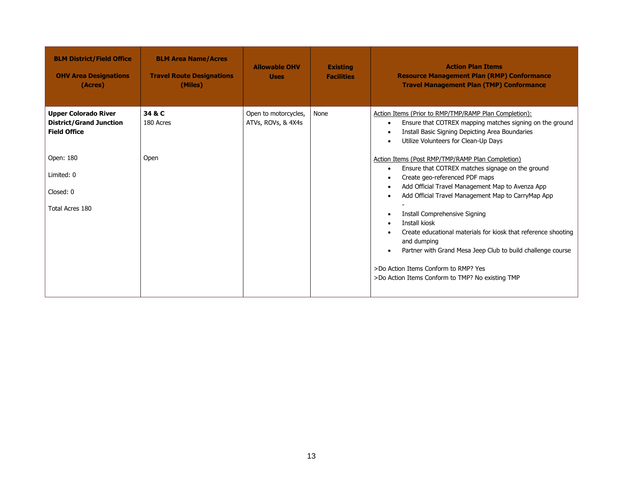| <b>BLM District/Field Office</b><br><b>OHV Area Designations</b><br>(Acres)          | <b>BLM Area Name/Acres</b><br><b>Travel Route Designations</b><br>(Miles) | <b>Allowable OHV</b><br><b>Uses</b>        | <b>Existing</b><br><b>Facilities</b> | <b>Action Plan Items</b><br><b>Resource Management Plan (RMP) Conformance</b><br><b>Travel Management Plan (TMP) Conformance</b>                                                                                                                                                                                                                                                                                                                                                                                                                            |
|--------------------------------------------------------------------------------------|---------------------------------------------------------------------------|--------------------------------------------|--------------------------------------|-------------------------------------------------------------------------------------------------------------------------------------------------------------------------------------------------------------------------------------------------------------------------------------------------------------------------------------------------------------------------------------------------------------------------------------------------------------------------------------------------------------------------------------------------------------|
| <b>Upper Colorado River</b><br><b>District/Grand Junction</b><br><b>Field Office</b> | 34 & C<br>180 Acres                                                       | Open to motorcycles,<br>ATVs, ROVs, & 4X4s | None                                 | Action Items (Prior to RMP/TMP/RAMP Plan Completion):<br>Ensure that COTREX mapping matches signing on the ground<br>$\bullet$<br>Install Basic Signing Depicting Area Boundaries<br>Utilize Volunteers for Clean-Up Days                                                                                                                                                                                                                                                                                                                                   |
| Open: 180<br>Limited: 0<br>Closed: 0<br>Total Acres 180                              | Open                                                                      |                                            |                                      | Action Items (Post RMP/TMP/RAMP Plan Completion)<br>Ensure that COTREX matches signage on the ground<br>$\bullet$<br>Create geo-referenced PDF maps<br>Add Official Travel Management Map to Avenza App<br>Add Official Travel Management Map to CarryMap App<br>Install Comprehensive Signing<br>Install kiosk<br>Create educational materials for kiosk that reference shooting<br>and dumping<br>Partner with Grand Mesa Jeep Club to build challenge course<br>>Do Action Items Conform to RMP? Yes<br>>Do Action Items Conform to TMP? No existing TMP |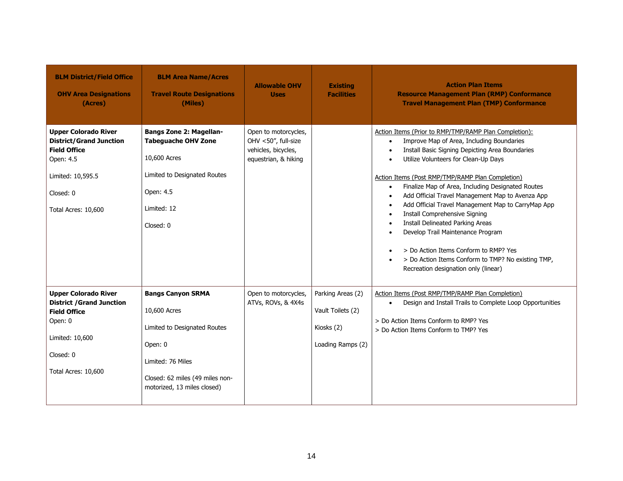| <b>BLM District/Field Office</b><br><b>OHV Area Designations</b><br>(Acres)                                                                                | <b>BLM Area Name/Acres</b><br><b>Travel Route Designations</b><br>(Miles)                                                                                                  | <b>Allowable OHV</b><br><b>Uses</b>                                                        | <b>Existing</b><br><b>Facilities</b>                                      | <b>Action Plan Items</b><br><b>Resource Management Plan (RMP) Conformance</b><br><b>Travel Management Plan (TMP) Conformance</b>                                                                                                                                                                                                                                                                                                                                                                                                                                                                                                                                                                                                                                                              |
|------------------------------------------------------------------------------------------------------------------------------------------------------------|----------------------------------------------------------------------------------------------------------------------------------------------------------------------------|--------------------------------------------------------------------------------------------|---------------------------------------------------------------------------|-----------------------------------------------------------------------------------------------------------------------------------------------------------------------------------------------------------------------------------------------------------------------------------------------------------------------------------------------------------------------------------------------------------------------------------------------------------------------------------------------------------------------------------------------------------------------------------------------------------------------------------------------------------------------------------------------------------------------------------------------------------------------------------------------|
| <b>Upper Colorado River</b><br><b>District/Grand Junction</b><br><b>Field Office</b><br>Open: 4.5<br>Limited: 10,595.5<br>Closed: 0<br>Total Acres: 10,600 | <b>Bangs Zone 2: Magellan-</b><br><b>Tabeguache OHV Zone</b><br>10,600 Acres<br>Limited to Designated Routes<br>Open: 4.5<br>Limited: 12<br>Closed: 0                      | Open to motorcycles,<br>OHV <50", full-size<br>vehicles, bicycles,<br>equestrian, & hiking |                                                                           | Action Items (Prior to RMP/TMP/RAMP Plan Completion):<br>Improve Map of Area, Including Boundaries<br>$\bullet$<br>Install Basic Signing Depicting Area Boundaries<br>$\bullet$<br>Utilize Volunteers for Clean-Up Days<br>$\bullet$<br>Action Items (Post RMP/TMP/RAMP Plan Completion)<br>Finalize Map of Area, Including Designated Routes<br>$\bullet$<br>Add Official Travel Management Map to Avenza App<br>$\bullet$<br>Add Official Travel Management Map to CarryMap App<br>$\bullet$<br>Install Comprehensive Signing<br>$\bullet$<br><b>Install Delineated Parking Areas</b><br>$\bullet$<br>Develop Trail Maintenance Program<br>$\bullet$<br>> Do Action Items Conform to RMP? Yes<br>> Do Action Items Conform to TMP? No existing TMP,<br>Recreation designation only (linear) |
| <b>Upper Colorado River</b><br><b>District / Grand Junction</b><br><b>Field Office</b><br>Open: 0<br>Limited: 10,600<br>Closed: 0<br>Total Acres: 10,600   | <b>Bangs Canyon SRMA</b><br>10,600 Acres<br>Limited to Designated Routes<br>Open: 0<br>Limited: 76 Miles<br>Closed: 62 miles (49 miles non-<br>motorized, 13 miles closed) | Open to motorcycles,<br>ATVs, ROVs, & 4X4s                                                 | Parking Areas (2)<br>Vault Toilets (2)<br>Kiosks (2)<br>Loading Ramps (2) | Action Items (Post RMP/TMP/RAMP Plan Completion)<br>Design and Install Trails to Complete Loop Opportunities<br>$\bullet$<br>> Do Action Items Conform to RMP? Yes<br>> Do Action Items Conform to TMP? Yes                                                                                                                                                                                                                                                                                                                                                                                                                                                                                                                                                                                   |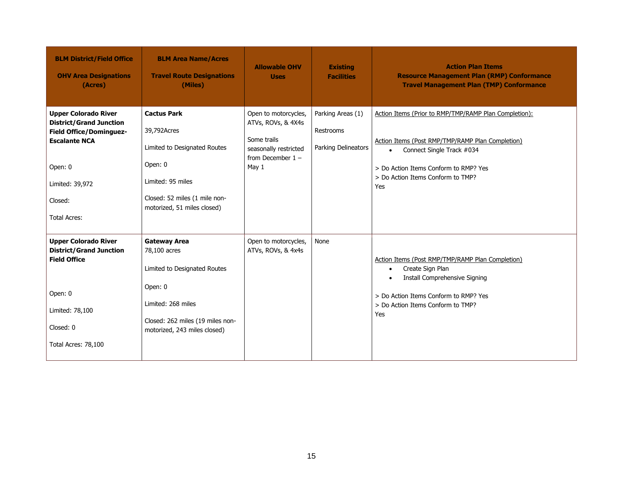| <b>BLM District/Field Office</b><br><b>OHV Area Designations</b><br>(Acres)                                                                                                             | <b>BLM Area Name/Acres</b><br><b>Travel Route Designations</b><br>(Miles)                                                                                                | <b>Allowable OHV</b><br><b>Uses</b>                                                                                | <b>Existing</b><br><b>Facilities</b>                  | <b>Action Plan Items</b><br><b>Resource Management Plan (RMP) Conformance</b><br><b>Travel Management Plan (TMP) Conformance</b>                                                                                                         |
|-----------------------------------------------------------------------------------------------------------------------------------------------------------------------------------------|--------------------------------------------------------------------------------------------------------------------------------------------------------------------------|--------------------------------------------------------------------------------------------------------------------|-------------------------------------------------------|------------------------------------------------------------------------------------------------------------------------------------------------------------------------------------------------------------------------------------------|
| <b>Upper Colorado River</b><br><b>District/Grand Junction</b><br><b>Field Office/Dominguez-</b><br><b>Escalante NCA</b><br>Open: 0<br>Limited: 39,972<br>Closed:<br><b>Total Acres:</b> | <b>Cactus Park</b><br>39,792Acres<br>Limited to Designated Routes<br>Open: 0<br>Limited: 95 miles<br>Closed: 52 miles (1 mile non-<br>motorized, 51 miles closed)        | Open to motorcycles,<br>ATVs, ROVs, & 4X4s<br>Some trails<br>seasonally restricted<br>from December $1 -$<br>May 1 | Parking Areas (1)<br>Restrooms<br>Parking Delineators | Action Items (Prior to RMP/TMP/RAMP Plan Completion):<br>Action Items (Post RMP/TMP/RAMP Plan Completion)<br>Connect Single Track #034<br>$\bullet$<br>> Do Action Items Conform to RMP? Yes<br>> Do Action Items Conform to TMP?<br>Yes |
| <b>Upper Colorado River</b><br><b>District/Grand Junction</b><br><b>Field Office</b><br>Open: 0<br>Limited: 78,100<br>Closed: 0<br>Total Acres: 78,100                                  | <b>Gateway Area</b><br>78,100 acres<br>Limited to Designated Routes<br>Open: 0<br>Limited: 268 miles<br>Closed: 262 miles (19 miles non-<br>motorized, 243 miles closed) | Open to motorcycles,<br>ATVs, ROVs, & 4x4s                                                                         | None                                                  | Action Items (Post RMP/TMP/RAMP Plan Completion)<br>Create Sign Plan<br>$\bullet$<br>Install Comprehensive Signing<br>$\bullet$<br>> Do Action Items Conform to RMP? Yes<br>> Do Action Items Conform to TMP?<br>Yes                     |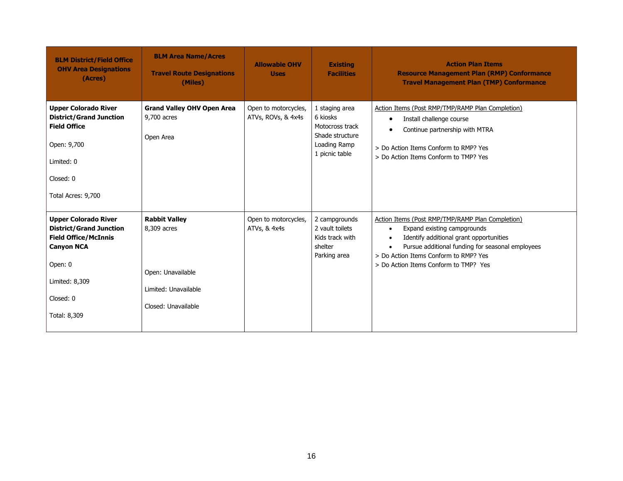| <b>BLM District/Field Office</b><br><b>OHV Area Designations</b><br>(Acres)                                                                                                 | <b>BLM Area Name/Acres</b><br><b>Travel Route Designations</b><br>(Miles)                               | <b>Allowable OHV</b><br><b>Uses</b>        | <b>Existing</b><br><b>Facilities</b>                                                               | <b>Action Plan Items</b><br><b>Resource Management Plan (RMP) Conformance</b><br><b>Travel Management Plan (TMP) Conformance</b>                                                                                                                                                                        |
|-----------------------------------------------------------------------------------------------------------------------------------------------------------------------------|---------------------------------------------------------------------------------------------------------|--------------------------------------------|----------------------------------------------------------------------------------------------------|---------------------------------------------------------------------------------------------------------------------------------------------------------------------------------------------------------------------------------------------------------------------------------------------------------|
| <b>Upper Colorado River</b><br><b>District/Grand Junction</b><br><b>Field Office</b><br>Open: 9,700<br>Limited: 0<br>Closed: 0<br>Total Acres: 9,700                        | <b>Grand Valley OHV Open Area</b><br>9,700 acres<br>Open Area                                           | Open to motorcycles,<br>ATVs, ROVs, & 4x4s | 1 staging area<br>6 kiosks<br>Motocross track<br>Shade structure<br>Loading Ramp<br>1 picnic table | Action Items (Post RMP/TMP/RAMP Plan Completion)<br>Install challenge course<br>$\bullet$<br>Continue partnership with MTRA<br>$\bullet$<br>> Do Action Items Conform to RMP? Yes<br>> Do Action Items Conform to TMP? Yes                                                                              |
| <b>Upper Colorado River</b><br><b>District/Grand Junction</b><br><b>Field Office/McInnis</b><br><b>Canyon NCA</b><br>Open: 0<br>Limited: 8,309<br>Closed: 0<br>Total: 8,309 | <b>Rabbit Valley</b><br>8,309 acres<br>Open: Unavailable<br>Limited: Unavailable<br>Closed: Unavailable | Open to motorcycles,<br>ATVs, & 4x4s       | 2 campgrounds<br>2 vault toilets<br>Kids track with<br>shelter<br>Parking area                     | Action Items (Post RMP/TMP/RAMP Plan Completion)<br>Expand existing campgrounds<br>$\bullet$<br>Identify additional grant opportunities<br>$\bullet$<br>Pursue additional funding for seasonal employees<br>$\bullet$<br>> Do Action Items Conform to RMP? Yes<br>> Do Action Items Conform to TMP? Yes |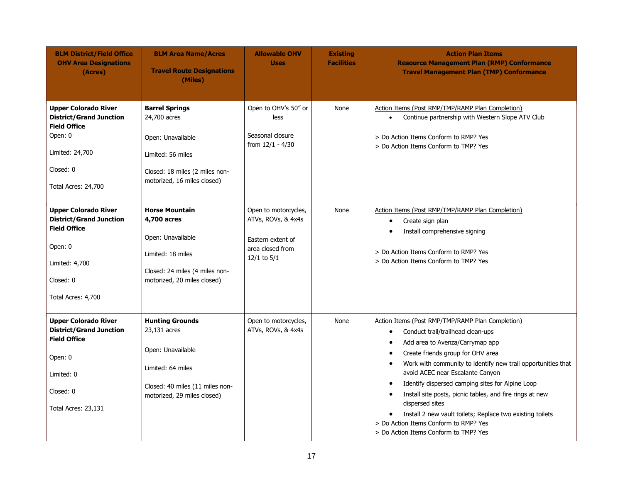| <b>BLM District/Field Office</b><br><b>OHV Area Designations</b><br>(Acres)                                                                            | <b>BLM Area Name/Acres</b><br><b>Travel Route Designations</b><br>(Miles)                                                                          | <b>Allowable OHV</b><br><b>Uses</b>                                                                    | <b>Existing</b><br><b>Facilities</b> | <b>Action Plan Items</b><br><b>Resource Management Plan (RMP) Conformance</b><br><b>Travel Management Plan (TMP) Conformance</b>                                                                                                                                                                                                                                                                                                                                                                                                                                                                                                       |
|--------------------------------------------------------------------------------------------------------------------------------------------------------|----------------------------------------------------------------------------------------------------------------------------------------------------|--------------------------------------------------------------------------------------------------------|--------------------------------------|----------------------------------------------------------------------------------------------------------------------------------------------------------------------------------------------------------------------------------------------------------------------------------------------------------------------------------------------------------------------------------------------------------------------------------------------------------------------------------------------------------------------------------------------------------------------------------------------------------------------------------------|
| <b>Upper Colorado River</b><br><b>District/Grand Junction</b><br><b>Field Office</b><br>Open: 0<br>Limited: 24,700<br>Closed: 0<br>Total Acres: 24,700 | <b>Barrel Springs</b><br>24,700 acres<br>Open: Unavailable<br>Limited: 56 miles<br>Closed: 18 miles (2 miles non-<br>motorized, 16 miles closed)   | Open to OHV's 50" or<br>less<br>Seasonal closure<br>from $12/1 - 4/30$                                 | None                                 | Action Items (Post RMP/TMP/RAMP Plan Completion)<br>Continue partnership with Western Slope ATV Club<br>$\bullet$<br>> Do Action Items Conform to RMP? Yes<br>> Do Action Items Conform to TMP? Yes                                                                                                                                                                                                                                                                                                                                                                                                                                    |
| <b>Upper Colorado River</b><br><b>District/Grand Junction</b><br><b>Field Office</b><br>Open: 0<br>Limited: 4,700<br>Closed: 0<br>Total Acres: 4,700   | <b>Horse Mountain</b><br>4,700 acres<br>Open: Unavailable<br>Limited: 18 miles<br>Closed: 24 miles (4 miles non-<br>motorized, 20 miles closed)    | Open to motorcycles,<br>ATVs, ROVs, & 4x4s<br>Eastern extent of<br>area closed from<br>$12/1$ to $5/1$ | None                                 | Action Items (Post RMP/TMP/RAMP Plan Completion)<br>Create sign plan<br>$\bullet$<br>Install comprehensive signing<br>$\bullet$<br>> Do Action Items Conform to RMP? Yes<br>> Do Action Items Conform to TMP? Yes                                                                                                                                                                                                                                                                                                                                                                                                                      |
| <b>Upper Colorado River</b><br><b>District/Grand Junction</b><br><b>Field Office</b><br>Open: 0<br>Limited: 0<br>Closed: 0<br>Total Acres: 23,131      | <b>Hunting Grounds</b><br>23,131 acres<br>Open: Unavailable<br>Limited: 64 miles<br>Closed: 40 miles (11 miles non-<br>motorized, 29 miles closed) | Open to motorcycles,<br>ATVs, ROVs, & 4x4s                                                             | None                                 | Action Items (Post RMP/TMP/RAMP Plan Completion)<br>Conduct trail/trailhead clean-ups<br>$\bullet$<br>Add area to Avenza/Carrymap app<br>$\bullet$<br>Create friends group for OHV area<br>$\bullet$<br>Work with community to identify new trail opportunities that<br>٠<br>avoid ACEC near Escalante Canyon<br>Identify dispersed camping sites for Alpine Loop<br>$\bullet$<br>Install site posts, picnic tables, and fire rings at new<br>$\bullet$<br>dispersed sites<br>Install 2 new vault toilets; Replace two existing toilets<br>$\bullet$<br>> Do Action Items Conform to RMP? Yes<br>> Do Action Items Conform to TMP? Yes |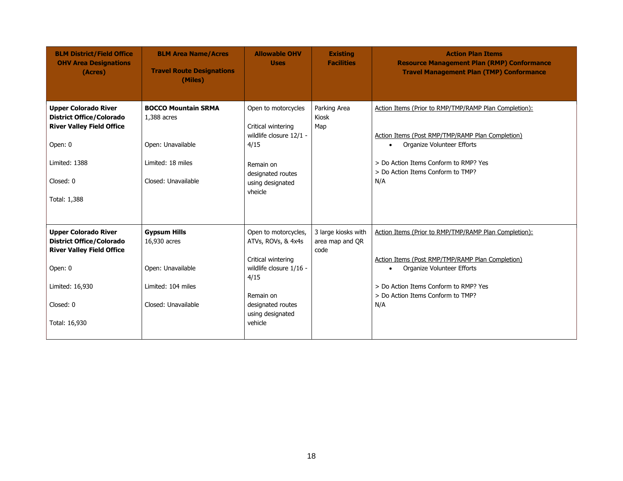| <b>BLM District/Field Office</b><br><b>OHV Area Designations</b><br>(Acres)                                                                                    | <b>BLM Area Name/Acres</b><br><b>Travel Route Designations</b><br>(Miles)                             | <b>Allowable OHV</b><br><b>Uses</b>                                                                                                                                  | <b>Existing</b><br><b>Facilities</b>           | <b>Action Plan Items</b><br><b>Resource Management Plan (RMP) Conformance</b><br><b>Travel Management Plan (TMP) Conformance</b>                                                                                                          |
|----------------------------------------------------------------------------------------------------------------------------------------------------------------|-------------------------------------------------------------------------------------------------------|----------------------------------------------------------------------------------------------------------------------------------------------------------------------|------------------------------------------------|-------------------------------------------------------------------------------------------------------------------------------------------------------------------------------------------------------------------------------------------|
| <b>Upper Colorado River</b><br><b>District Office/Colorado</b><br><b>River Valley Field Office</b><br>Open: 0                                                  | <b>BOCCO Mountain SRMA</b><br>1,388 acres<br>Open: Unavailable                                        | Open to motorcycles<br>Critical wintering<br>wildlife closure 12/1 -<br>4/15                                                                                         | Parking Area<br>Kiosk<br>Map                   | Action Items (Prior to RMP/TMP/RAMP Plan Completion):<br>Action Items (Post RMP/TMP/RAMP Plan Completion)<br>Organize Volunteer Efforts<br>$\bullet$                                                                                      |
| Limited: 1388<br>Closed: 0<br>Total: 1,388                                                                                                                     | Limited: 18 miles<br>Closed: Unavailable                                                              | Remain on<br>designated routes<br>using designated<br>vheicle                                                                                                        |                                                | > Do Action Items Conform to RMP? Yes<br>> Do Action Items Conform to TMP?<br>N/A                                                                                                                                                         |
| <b>Upper Colorado River</b><br><b>District Office/Colorado</b><br><b>River Valley Field Office</b><br>Open: 0<br>Limited: 16,930<br>Closed: 0<br>Total: 16,930 | <b>Gypsum Hills</b><br>16,930 acres<br>Open: Unavailable<br>Limited: 104 miles<br>Closed: Unavailable | Open to motorcycles,<br>ATVs, ROVs, & 4x4s<br>Critical wintering<br>wildlife closure 1/16 -<br>4/15<br>Remain on<br>designated routes<br>using designated<br>vehicle | 3 large kiosks with<br>area map and QR<br>code | Action Items (Prior to RMP/TMP/RAMP Plan Completion):<br>Action Items (Post RMP/TMP/RAMP Plan Completion)<br>Organize Volunteer Efforts<br>$\bullet$<br>> Do Action Items Conform to RMP? Yes<br>> Do Action Items Conform to TMP?<br>N/A |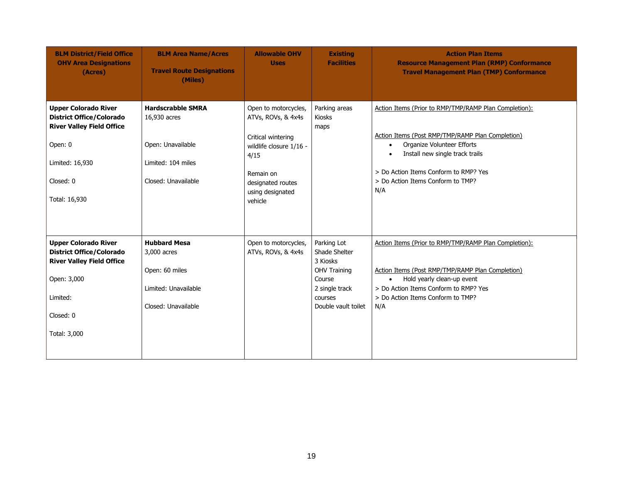| <b>BLM District/Field Office</b><br><b>OHV Area Designations</b><br>(Acres)                                                                                    | <b>BLM Area Name/Acres</b><br><b>Travel Route Designations</b><br>(Miles)                                  | <b>Allowable OHV</b><br><b>Uses</b>                                                                                                                                  | <b>Existing</b><br><b>Facilities</b>                                                                                          | <b>Action Plan Items</b><br><b>Resource Management Plan (RMP) Conformance</b><br><b>Travel Management Plan (TMP) Conformance</b>                                                                                                                                                          |
|----------------------------------------------------------------------------------------------------------------------------------------------------------------|------------------------------------------------------------------------------------------------------------|----------------------------------------------------------------------------------------------------------------------------------------------------------------------|-------------------------------------------------------------------------------------------------------------------------------|-------------------------------------------------------------------------------------------------------------------------------------------------------------------------------------------------------------------------------------------------------------------------------------------|
| <b>Upper Colorado River</b><br><b>District Office/Colorado</b><br><b>River Valley Field Office</b><br>Open: 0<br>Limited: 16,930<br>Closed: 0<br>Total: 16,930 | <b>Hardscrabble SMRA</b><br>16,930 acres<br>Open: Unavailable<br>Limited: 104 miles<br>Closed: Unavailable | Open to motorcycles,<br>ATVs, ROVs, & 4x4s<br>Critical wintering<br>wildlife closure 1/16 -<br>4/15<br>Remain on<br>designated routes<br>using designated<br>vehicle | Parking areas<br><b>Kiosks</b><br>maps                                                                                        | Action Items (Prior to RMP/TMP/RAMP Plan Completion):<br>Action Items (Post RMP/TMP/RAMP Plan Completion)<br>Organize Volunteer Efforts<br>$\bullet$<br>Install new single track trails<br>$\bullet$<br>> Do Action Items Conform to RMP? Yes<br>> Do Action Items Conform to TMP?<br>N/A |
| <b>Upper Colorado River</b><br><b>District Office/Colorado</b><br><b>River Valley Field Office</b><br>Open: 3,000<br>Limited:<br>Closed: 0<br>Total: 3,000     | <b>Hubbard Mesa</b><br>3,000 acres<br>Open: 60 miles<br>Limited: Unavailable<br>Closed: Unavailable        | Open to motorcycles,<br>ATVs, ROVs, & 4x4s                                                                                                                           | Parking Lot<br>Shade Shelter<br>3 Kiosks<br><b>OHV Training</b><br>Course<br>2 single track<br>courses<br>Double vault toilet | Action Items (Prior to RMP/TMP/RAMP Plan Completion):<br>Action Items (Post RMP/TMP/RAMP Plan Completion)<br>Hold yearly clean-up event<br>$\bullet$<br>> Do Action Items Conform to RMP? Yes<br>> Do Action Items Conform to TMP?<br>N/A                                                 |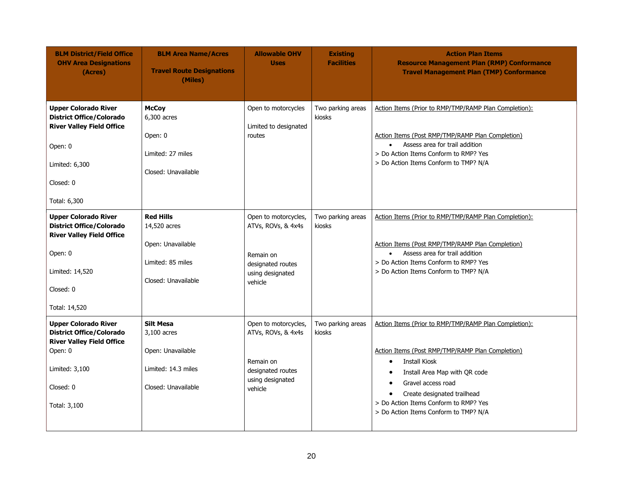| <b>BLM District/Field Office</b><br><b>OHV Area Designations</b><br>(Acres)                                                                                    | <b>BLM Area Name/Acres</b><br><b>Travel Route Designations</b><br>(Miles)                          | <b>Allowable OHV</b><br><b>Uses</b>                                                                         | <b>Existing</b><br><b>Facilities</b> | <b>Action Plan Items</b><br><b>Resource Management Plan (RMP) Conformance</b><br><b>Travel Management Plan (TMP) Conformance</b>                                                                                                                                                                                                                              |
|----------------------------------------------------------------------------------------------------------------------------------------------------------------|----------------------------------------------------------------------------------------------------|-------------------------------------------------------------------------------------------------------------|--------------------------------------|---------------------------------------------------------------------------------------------------------------------------------------------------------------------------------------------------------------------------------------------------------------------------------------------------------------------------------------------------------------|
| <b>Upper Colorado River</b><br><b>District Office/Colorado</b><br><b>River Valley Field Office</b><br>Open: 0<br>Limited: 6,300<br>Closed: 0<br>Total: 6,300   | <b>McCoy</b><br>6,300 acres<br>Open: 0<br>Limited: 27 miles<br>Closed: Unavailable                 | Open to motorcycles<br>Limited to designated<br>routes                                                      | Two parking areas<br>kiosks          | Action Items (Prior to RMP/TMP/RAMP Plan Completion):<br>Action Items (Post RMP/TMP/RAMP Plan Completion)<br>Assess area for trail addition<br>$\bullet$<br>> Do Action Items Conform to RMP? Yes<br>> Do Action Items Conform to TMP? N/A                                                                                                                    |
| <b>Upper Colorado River</b><br><b>District Office/Colorado</b><br><b>River Valley Field Office</b><br>Open: 0<br>Limited: 14,520<br>Closed: 0<br>Total: 14,520 | <b>Red Hills</b><br>14,520 acres<br>Open: Unavailable<br>Limited: 85 miles<br>Closed: Unavailable  | Open to motorcycles,<br>ATVs, ROVs, & 4x4s<br>Remain on<br>designated routes<br>using designated<br>vehicle | Two parking areas<br>kiosks          | Action Items (Prior to RMP/TMP/RAMP Plan Completion):<br>Action Items (Post RMP/TMP/RAMP Plan Completion)<br>Assess area for trail addition<br>$\bullet$<br>> Do Action Items Conform to RMP? Yes<br>> Do Action Items Conform to TMP? N/A                                                                                                                    |
| <b>Upper Colorado River</b><br><b>District Office/Colorado</b><br><b>River Valley Field Office</b><br>Open: 0<br>Limited: 3,100<br>Closed: 0<br>Total: 3,100   | <b>Silt Mesa</b><br>3,100 acres<br>Open: Unavailable<br>Limited: 14.3 miles<br>Closed: Unavailable | Open to motorcycles,<br>ATVs, ROVs, & 4x4s<br>Remain on<br>designated routes<br>using designated<br>vehicle | Two parking areas<br>kiosks          | Action Items (Prior to RMP/TMP/RAMP Plan Completion):<br>Action Items (Post RMP/TMP/RAMP Plan Completion)<br><b>Install Kiosk</b><br>$\bullet$<br>Install Area Map with QR code<br>$\bullet$<br>Gravel access road<br>$\bullet$<br>Create designated trailhead<br>$\bullet$<br>> Do Action Items Conform to RMP? Yes<br>> Do Action Items Conform to TMP? N/A |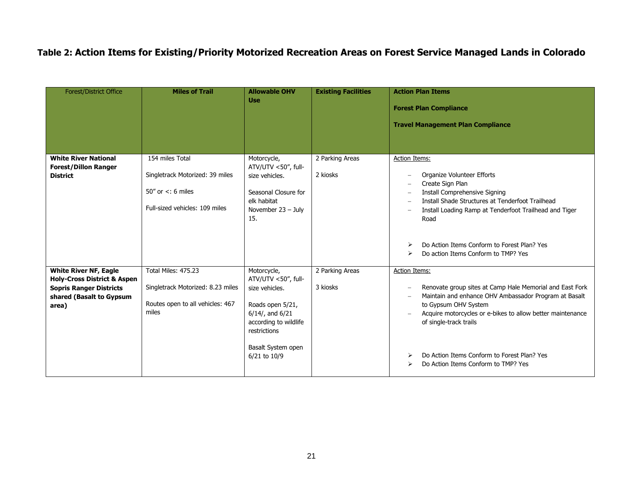# **Table 2: Action Items for Existing/Priority Motorized Recreation Areas on Forest Service Managed Lands in Colorado**

| Forest/District Office                                                                                                                        | <b>Miles of Trail</b>                                                                                          | <b>Allowable OHV</b><br><b>Use</b>                                                                                                       | <b>Existing Facilities</b>  | <b>Action Plan Items</b><br><b>Forest Plan Compliance</b><br><b>Travel Management Plan Compliance</b>                                                                                                                                                            |
|-----------------------------------------------------------------------------------------------------------------------------------------------|----------------------------------------------------------------------------------------------------------------|------------------------------------------------------------------------------------------------------------------------------------------|-----------------------------|------------------------------------------------------------------------------------------------------------------------------------------------------------------------------------------------------------------------------------------------------------------|
| <b>White River National</b><br><b>Forest/Dillon Ranger</b><br><b>District</b>                                                                 | 154 miles Total<br>Singletrack Motorized: 39 miles<br>50" or $\lt$ : 6 miles<br>Full-sized vehicles: 109 miles | Motorcycle,<br>ATV/UTV <50", full-<br>size vehicles.<br>Seasonal Closure for<br>elk habitat<br>November $23 - July$<br>15.               | 2 Parking Areas<br>2 kiosks | <b>Action Items:</b><br>Organize Volunteer Efforts<br>Create Sign Plan<br><b>Install Comprehensive Signing</b><br>Install Shade Structures at Tenderfoot Trailhead<br>$\overline{\phantom{a}}$<br>Install Loading Ramp at Tenderfoot Trailhead and Tiger<br>Road |
|                                                                                                                                               |                                                                                                                |                                                                                                                                          |                             | Do Action Items Conform to Forest Plan? Yes<br>⋗<br>Do action Items Conform to TMP? Yes                                                                                                                                                                          |
| <b>White River NF, Eagle</b><br><b>Holy-Cross District &amp; Aspen</b><br><b>Sopris Ranger Districts</b><br>shared (Basalt to Gypsum<br>area) | Total Miles: 475.23<br>Singletrack Motorized: 8.23 miles<br>Routes open to all vehicles: 467<br>miles          | Motorcycle,<br>ATV/UTV <50", full-<br>size vehicles.<br>Roads open 5/21,<br>$6/14$ , and $6/21$<br>according to wildlife<br>restrictions | 2 Parking Areas<br>3 kiosks | <b>Action Items:</b><br>Renovate group sites at Camp Hale Memorial and East Fork<br>Maintain and enhance OHV Ambassador Program at Basalt<br>to Gypsum OHV System<br>Acquire motorcycles or e-bikes to allow better maintenance<br>of single-track trails        |
|                                                                                                                                               |                                                                                                                | Basalt System open<br>6/21 to 10/9                                                                                                       |                             | Do Action Items Conform to Forest Plan? Yes<br>Do Action Items Conform to TMP? Yes                                                                                                                                                                               |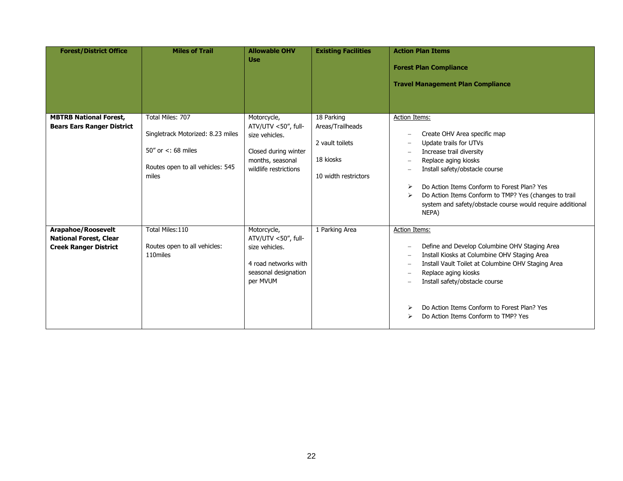| <b>Forest/District Office</b>                                                              | <b>Miles of Trail</b>                                                                                                            | <b>Allowable OHV</b><br><b>Use</b>                                                                                        | <b>Existing Facilities</b>                                                             | <b>Action Plan Items</b><br><b>Forest Plan Compliance</b><br><b>Travel Management Plan Compliance</b>                                                                                                                                                                                                                                                                                                                                                                                                          |
|--------------------------------------------------------------------------------------------|----------------------------------------------------------------------------------------------------------------------------------|---------------------------------------------------------------------------------------------------------------------------|----------------------------------------------------------------------------------------|----------------------------------------------------------------------------------------------------------------------------------------------------------------------------------------------------------------------------------------------------------------------------------------------------------------------------------------------------------------------------------------------------------------------------------------------------------------------------------------------------------------|
| <b>MBTRB National Forest,</b><br><b>Bears Ears Ranger District</b>                         | Total Miles: 707<br>Singletrack Motorized: 8.23 miles<br>$50''$ or $\lt$ : 68 miles<br>Routes open to all vehicles: 545<br>miles | Motorcycle,<br>ATV/UTV <50", full-<br>size vehicles.<br>Closed during winter<br>months, seasonal<br>wildlife restrictions | 18 Parking<br>Areas/Trailheads<br>2 vault toilets<br>18 kiosks<br>10 width restrictors | Action Items:<br>Create OHV Area specific map<br>$\overline{\phantom{0}}$<br>Update trails for UTVs<br>$\overline{\phantom{a}}$<br>Increase trail diversity<br>$\overline{\phantom{a}}$<br>Replace aging kiosks<br>$\overline{\phantom{a}}$<br>Install safety/obstacle course<br>Do Action Items Conform to Forest Plan? Yes<br>$\blacktriangleright$<br>Do Action Items Conform to TMP? Yes (changes to trail<br>$\blacktriangleright$<br>system and safety/obstacle course would require additional<br>NEPA) |
| <b>Arapahoe/Roosevelt</b><br><b>National Forest, Clear</b><br><b>Creek Ranger District</b> | Total Miles: 110<br>Routes open to all vehicles:<br>110miles                                                                     | Motorcycle,<br>ATV/UTV <50", full-<br>size vehicles.<br>4 road networks with<br>seasonal designation<br>per MVUM          | 1 Parking Area                                                                         | <b>Action Items:</b><br>Define and Develop Columbine OHV Staging Area<br>$\overline{\phantom{0}}$<br>Install Kiosks at Columbine OHV Staging Area<br>$\overline{\phantom{a}}$<br>Install Vault Toilet at Columbine OHV Staging Area<br>$\overline{\phantom{a}}$<br>Replace aging kiosks<br>$\overline{\phantom{a}}$<br>Install safety/obstacle course<br>Do Action Items Conform to Forest Plan? Yes<br>⋗<br>Do Action Items Conform to TMP? Yes                                                               |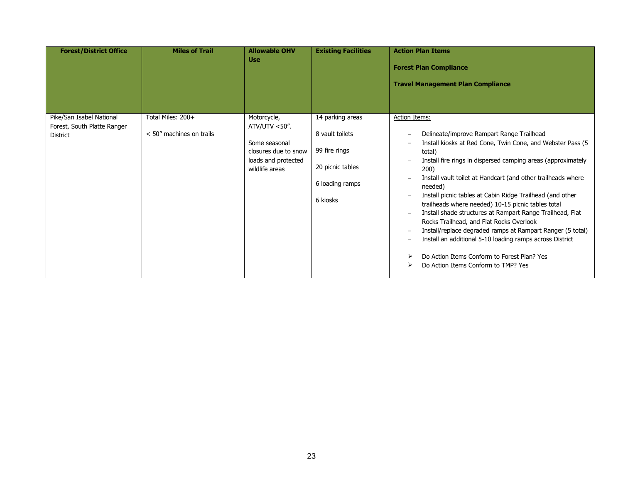| <b>Forest/District Office</b>                                              | <b>Miles of Trail</b>                         | <b>Allowable OHV</b><br><b>Use</b>                                                                                | <b>Existing Facilities</b>                                                                              | <b>Action Plan Items</b><br><b>Forest Plan Compliance</b><br><b>Travel Management Plan Compliance</b>                                                                                                                                                                                                                                                                                                                                                                                                                                                                                                                                                                                                                                                                                                                                                                                                                                                  |
|----------------------------------------------------------------------------|-----------------------------------------------|-------------------------------------------------------------------------------------------------------------------|---------------------------------------------------------------------------------------------------------|--------------------------------------------------------------------------------------------------------------------------------------------------------------------------------------------------------------------------------------------------------------------------------------------------------------------------------------------------------------------------------------------------------------------------------------------------------------------------------------------------------------------------------------------------------------------------------------------------------------------------------------------------------------------------------------------------------------------------------------------------------------------------------------------------------------------------------------------------------------------------------------------------------------------------------------------------------|
| Pike/San Isabel National<br>Forest, South Platte Ranger<br><b>District</b> | Total Miles: 200+<br>< 50" machines on trails | Motorcycle,<br>ATV/UTV $<$ 50".<br>Some seasonal<br>closures due to snow<br>loads and protected<br>wildlife areas | 14 parking areas<br>8 vault toilets<br>99 fire rings<br>20 picnic tables<br>6 loading ramps<br>6 kiosks | <b>Action Items:</b><br>Delineate/improve Rampart Range Trailhead<br>$\overline{\phantom{0}}$<br>Install kiosks at Red Cone, Twin Cone, and Webster Pass (5<br>$\overline{\phantom{0}}$<br>total)<br>Install fire rings in dispersed camping areas (approximately<br>200)<br>Install vault toilet at Handcart (and other trailheads where<br>$\overline{\phantom{0}}$<br>needed)<br>Install picnic tables at Cabin Ridge Trailhead (and other<br>$\overline{\phantom{a}}$<br>trailheads where needed) 10-15 picnic tables total<br>Install shade structures at Rampart Range Trailhead, Flat<br>$\overline{\phantom{a}}$<br>Rocks Trailhead, and Flat Rocks Overlook<br>Install/replace degraded ramps at Rampart Ranger (5 total)<br>$\overline{\phantom{a}}$<br>Install an additional 5-10 loading ramps across District<br>$\overline{\phantom{0}}$<br>Do Action Items Conform to Forest Plan? Yes<br>⋗<br>Do Action Items Conform to TMP? Yes<br>⋗ |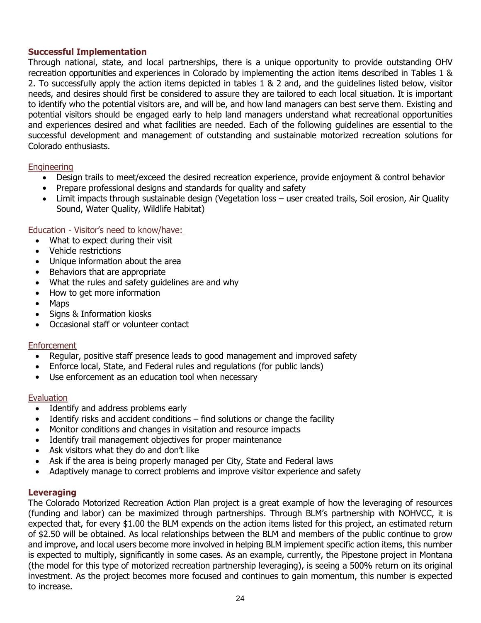### **Successful Implementation**

Through national, state, and local partnerships, there is a unique opportunity to provide outstanding OHV recreation opportunities and experiences in Colorado by implementing the action items described in Tables 1 & 2. To successfully apply the action items depicted in tables 1 & 2 and, and the guidelines listed below, visitor needs, and desires should first be considered to assure they are tailored to each local situation. It is important to identify who the potential visitors are, and will be, and how land managers can best serve them. Existing and potential visitors should be engaged early to help land managers understand what recreational opportunities and experiences desired and what facilities are needed. Each of the following guidelines are essential to the successful development and management of outstanding and sustainable motorized recreation solutions for Colorado enthusiasts.

### Engineering

- Design trails to meet/exceed the desired recreation experience, provide enjoyment & control behavior
- Prepare professional designs and standards for quality and safety
- Limit impacts through sustainable design (Vegetation loss user created trails, Soil erosion, Air Quality Sound, Water Quality, Wildlife Habitat)

### Education - Visitor's need to know/have:

- What to expect during their visit
- Vehicle restrictions
- Unique information about the area
- Behaviors that are appropriate
- What the rules and safety guidelines are and why
- How to get more information
- Maps
- Signs & Information kiosks
- Occasional staff or volunteer contact

### **Enforcement**

- Regular, positive staff presence leads to good management and improved safety
- Enforce local, State, and Federal rules and regulations (for public lands)
- Use enforcement as an education tool when necessary

### Evaluation

- Identify and address problems early
- Identify risks and accident conditions find solutions or change the facility
- Monitor conditions and changes in visitation and resource impacts
- Identify trail management objectives for proper maintenance
- Ask visitors what they do and don't like
- Ask if the area is being properly managed per City, State and Federal laws
- Adaptively manage to correct problems and improve visitor experience and safety

### **Leveraging**

The Colorado Motorized Recreation Action Plan project is a great example of how the leveraging of resources (funding and labor) can be maximized through partnerships. Through BLM's partnership with NOHVCC, it is expected that, for every \$1.00 the BLM expends on the action items listed for this project, an estimated return of \$2.50 will be obtained. As local relationships between the BLM and members of the public continue to grow and improve, and local users become more involved in helping BLM implement specific action items, this number is expected to multiply, significantly in some cases. As an example, currently, the Pipestone project in Montana (the model for this type of motorized recreation partnership leveraging), is seeing a 500% return on its original investment. As the project becomes more focused and continues to gain momentum, this number is expected to increase.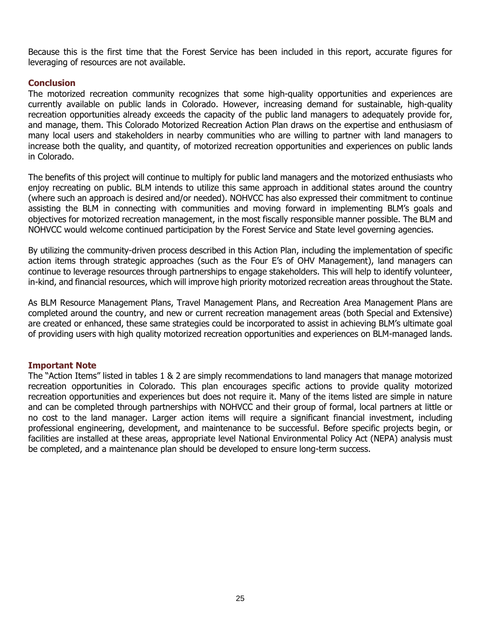Because this is the first time that the Forest Service has been included in this report, accurate figures for leveraging of resources are not available.

### **Conclusion**

The motorized recreation community recognizes that some high-quality opportunities and experiences are currently available on public lands in Colorado. However, increasing demand for sustainable, high-quality recreation opportunities already exceeds the capacity of the public land managers to adequately provide for, and manage, them. This Colorado Motorized Recreation Action Plan draws on the expertise and enthusiasm of many local users and stakeholders in nearby communities who are willing to partner with land managers to increase both the quality, and quantity, of motorized recreation opportunities and experiences on public lands in Colorado.

The benefits of this project will continue to multiply for public land managers and the motorized enthusiasts who enjoy recreating on public. BLM intends to utilize this same approach in additional states around the country (where such an approach is desired and/or needed). NOHVCC has also expressed their commitment to continue assisting the BLM in connecting with communities and moving forward in implementing BLM's goals and objectives for motorized recreation management, in the most fiscally responsible manner possible. The BLM and NOHVCC would welcome continued participation by the Forest Service and State level governing agencies.

By utilizing the community-driven process described in this Action Plan, including the implementation of specific action items through strategic approaches (such as the Four E's of OHV Management), land managers can continue to leverage resources through partnerships to engage stakeholders. This will help to identify volunteer, in-kind, and financial resources, which will improve high priority motorized recreation areas throughout the State.

As BLM Resource Management Plans, Travel Management Plans, and Recreation Area Management Plans are completed around the country, and new or current recreation management areas (both Special and Extensive) are created or enhanced, these same strategies could be incorporated to assist in achieving BLM's ultimate goal of providing users with high quality motorized recreation opportunities and experiences on BLM-managed lands.

### **Important Note**

The "Action Items" listed in tables 1 & 2 are simply recommendations to land managers that manage motorized recreation opportunities in Colorado. This plan encourages specific actions to provide quality motorized recreation opportunities and experiences but does not require it. Many of the items listed are simple in nature and can be completed through partnerships with NOHVCC and their group of formal, local partners at little or no cost to the land manager. Larger action items will require a significant financial investment, including professional engineering, development, and maintenance to be successful. Before specific projects begin, or facilities are installed at these areas, appropriate level National Environmental Policy Act (NEPA) analysis must be completed, and a maintenance plan should be developed to ensure long-term success.